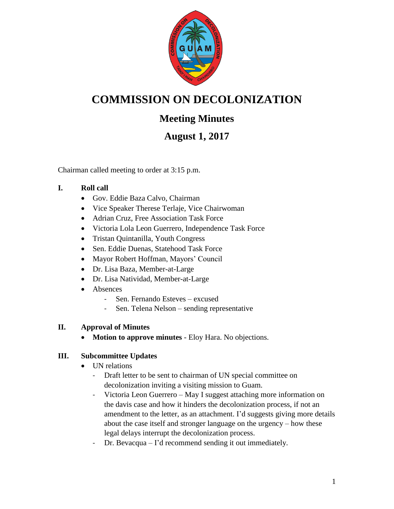

# **COMMISSION ON DECOLONIZATION**

## **Meeting Minutes**

## **August 1, 2017**

Chairman called meeting to order at 3:15 p.m.

### **I. Roll call**

- Gov. Eddie Baza Calvo, Chairman
- Vice Speaker Therese Terlaje, Vice Chairwoman
- Adrian Cruz, Free Association Task Force
- Victoria Lola Leon Guerrero, Independence Task Force
- Tristan Quintanilla, Youth Congress
- Sen. Eddie Duenas, Statehood Task Force
- Mayor Robert Hoffman, Mayors' Council
- Dr. Lisa Baza, Member-at-Large
- Dr. Lisa Natividad, Member-at-Large
- Absences
	- Sen. Fernando Esteves excused
	- Sen. Telena Nelson sending representative

### **II. Approval of Minutes**

**Motion to approve minutes** - Eloy Hara. No objections.

### **III. Subcommittee Updates**

- UN relations
	- Draft letter to be sent to chairman of UN special committee on decolonization inviting a visiting mission to Guam.
	- Victoria Leon Guerrero May I suggest attaching more information on the davis case and how it hinders the decolonization process, if not an amendment to the letter, as an attachment. I'd suggests giving more details about the case itself and stronger language on the urgency – how these legal delays interrupt the decolonization process.
	- Dr. Bevacqua I'd recommend sending it out immediately.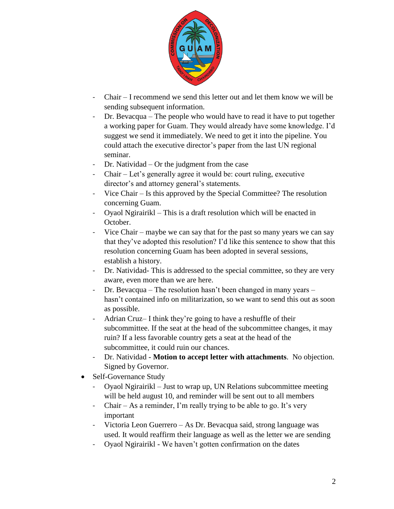

- Chair I recommend we send this letter out and let them know we will be sending subsequent information.
- Dr. Bevacqua The people who would have to read it have to put together a working paper for Guam. They would already have some knowledge. I'd suggest we send it immediately. We need to get it into the pipeline. You could attach the executive director's paper from the last UN regional seminar.
- Dr. Natividad Or the judgment from the case
- Chair Let's generally agree it would be: court ruling, executive director's and attorney general's statements.
- Vice Chair Is this approved by the Special Committee? The resolution concerning Guam.
- Oyaol Ngirairikl This is a draft resolution which will be enacted in October.
- Vice Chair maybe we can say that for the past so many years we can say that they've adopted this resolution? I'd like this sentence to show that this resolution concerning Guam has been adopted in several sessions, establish a history.
- Dr. Natividad- This is addressed to the special committee, so they are very aware, even more than we are here.
- Dr. Bevacqua The resolution hasn't been changed in many years hasn't contained info on militarization, so we want to send this out as soon as possible.
- Adrian Cruz– I think they're going to have a reshuffle of their subcommittee. If the seat at the head of the subcommittee changes, it may ruin? If a less favorable country gets a seat at the head of the subcommittee, it could ruin our chances.
- Dr. Natividad **Motion to accept letter with attachments**. No objection. Signed by Governor.
- Self-Governance Study
	- Oyaol Ngirairikl Just to wrap up, UN Relations subcommittee meeting will be held august 10, and reminder will be sent out to all members
	- Chair As a reminder, I'm really trying to be able to go. It's very important
	- Victoria Leon Guerrero As Dr. Bevacqua said, strong language was used. It would reaffirm their language as well as the letter we are sending
	- Oyaol Ngirairikl We haven't gotten confirmation on the dates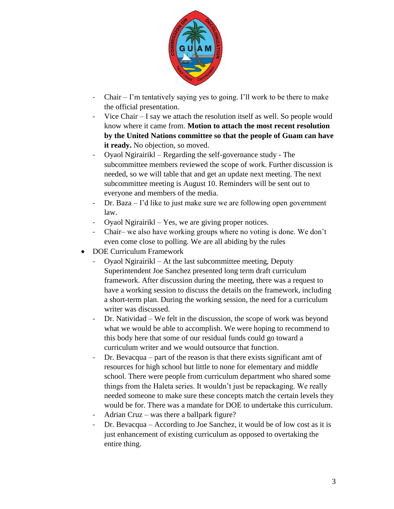

- Chair I'm tentatively saying yes to going. I'll work to be there to make the official presentation.
- Vice Chair I say we attach the resolution itself as well. So people would know where it came from. **Motion to attach the most recent resolution by the United Nations committee so that the people of Guam can have**  it ready. No objection, so moved.
- Oyaol Ngirairikl Regarding the self-governance study The subcommittee members reviewed the scope of work. Further discussion is needed, so we will table that and get an update next meeting. The next subcommittee meeting is August 10. Reminders will be sent out to everyone and members of the media.
- Dr. Baza I'd like to just make sure we are following open government law.
- Oyaol Ngirairikl Yes, we are giving proper notices.
- Chair– we also have working groups where no voting is done. We don't even come close to polling. We are all abiding by the rules
- DOE Curriculum Framework
	- Oyaol Ngirairikl At the last subcommittee meeting, Deputy Superintendent Joe Sanchez presented long term draft curriculum framework. After discussion during the meeting, there was a request to have a working session to discuss the details on the framework, including a short-term plan. During the working session, the need for a curriculum writer was discussed.
	- Dr. Natividad We felt in the discussion, the scope of work was beyond what we would be able to accomplish. We were hoping to recommend to this body here that some of our residual funds could go toward a curriculum writer and we would outsource that function.
	- Dr. Bevacqua part of the reason is that there exists significant amt of resources for high school but little to none for elementary and middle school. There were people from curriculum department who shared some things from the Haleta series. It wouldn't just be repackaging. We really needed someone to make sure these concepts match the certain levels they would be for. There was a mandate for DOE to undertake this curriculum.
	- Adrian Cruz was there a ballpark figure?
	- Dr. Bevacqua According to Joe Sanchez, it would be of low cost as it is just enhancement of existing curriculum as opposed to overtaking the entire thing.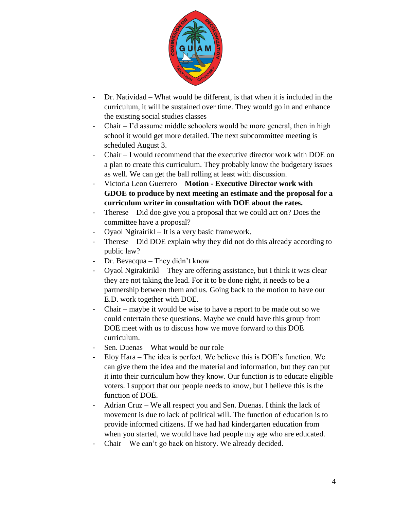

- Dr. Natividad What would be different, is that when it is included in the curriculum, it will be sustained over time. They would go in and enhance the existing social studies classes
- Chair I'd assume middle schoolers would be more general, then in high school it would get more detailed. The next subcommittee meeting is scheduled August 3.
- Chair I would recommend that the executive director work with DOE on a plan to create this curriculum. They probably know the budgetary issues as well. We can get the ball rolling at least with discussion.
- Victoria Leon Guerrero **Motion - Executive Director work with GDOE to produce by next meeting an estimate and the proposal for a curriculum writer in consultation with DOE about the rates.**
- Therese Did doe give you a proposal that we could act on? Does the committee have a proposal?
- Oyaol Ngirairikl It is a very basic framework.
- Therese Did DOE explain why they did not do this already according to public law?
- Dr. Bevacqua They didn't know
- Oyaol Ngirakirikl They are offering assistance, but I think it was clear they are not taking the lead. For it to be done right, it needs to be a partnership between them and us. Going back to the motion to have our E.D. work together with DOE.
- Chair maybe it would be wise to have a report to be made out so we could entertain these questions. Maybe we could have this group from DOE meet with us to discuss how we move forward to this DOE curriculum.
- Sen. Duenas What would be our role
- Eloy Hara The idea is perfect. We believe this is DOE's function. We can give them the idea and the material and information, but they can put it into their curriculum how they know. Our function is to educate eligible voters. I support that our people needs to know, but I believe this is the function of DOE.
- Adrian Cruz We all respect you and Sen. Duenas. I think the lack of movement is due to lack of political will. The function of education is to provide informed citizens. If we had had kindergarten education from when you started, we would have had people my age who are educated.
- Chair We can't go back on history. We already decided.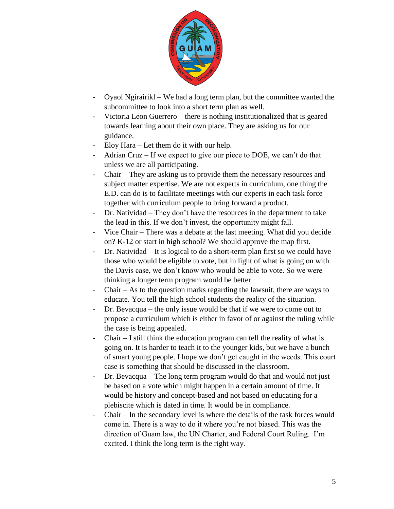

- Oyaol Ngirairikl We had a long term plan, but the committee wanted the subcommittee to look into a short term plan as well.
- Victoria Leon Guerrero there is nothing institutionalized that is geared towards learning about their own place. They are asking us for our guidance.
- Eloy Hara Let them do it with our help.
- Adrian Cruz If we expect to give our piece to DOE, we can't do that unless we are all participating.
- Chair They are asking us to provide them the necessary resources and subject matter expertise. We are not experts in curriculum, one thing the E.D. can do is to facilitate meetings with our experts in each task force together with curriculum people to bring forward a product.
- Dr. Natividad They don't have the resources in the department to take the lead in this. If we don't invest, the opportunity might fall.
- Vice Chair There was a debate at the last meeting. What did you decide on? K-12 or start in high school? We should approve the map first.
- Dr. Natividad It is logical to do a short-term plan first so we could have those who would be eligible to vote, but in light of what is going on with the Davis case, we don't know who would be able to vote. So we were thinking a longer term program would be better.
- Chair As to the question marks regarding the lawsuit, there are ways to educate. You tell the high school students the reality of the situation.
- Dr. Bevacqua the only issue would be that if we were to come out to propose a curriculum which is either in favor of or against the ruling while the case is being appealed.
- Chair I still think the education program can tell the reality of what is going on. It is harder to teach it to the younger kids, but we have a bunch of smart young people. I hope we don't get caught in the weeds. This court case is something that should be discussed in the classroom.
- Dr. Bevacqua The long term program would do that and would not just be based on a vote which might happen in a certain amount of time. It would be history and concept-based and not based on educating for a plebiscite which is dated in time. It would be in compliance.
- Chair In the secondary level is where the details of the task forces would come in. There is a way to do it where you're not biased. This was the direction of Guam law, the UN Charter, and Federal Court Ruling. I'm excited. I think the long term is the right way.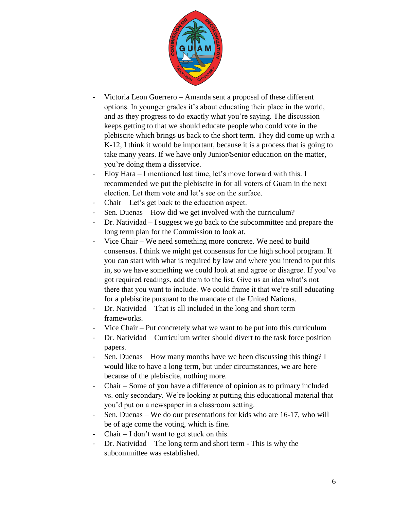

- Victoria Leon Guerrero Amanda sent a proposal of these different options. In younger grades it's about educating their place in the world, and as they progress to do exactly what you're saying. The discussion keeps getting to that we should educate people who could vote in the plebiscite which brings us back to the short term. They did come up with a K-12, I think it would be important, because it is a process that is going to take many years. If we have only Junior/Senior education on the matter, you're doing them a disservice.
- Eloy Hara I mentioned last time, let's move forward with this. I recommended we put the plebiscite in for all voters of Guam in the next election. Let them vote and let's see on the surface.
- ${\rm Chair}$  Let's get back to the education aspect.
- Sen. Duenas How did we get involved with the curriculum?
- Dr. Natividad I suggest we go back to the subcommittee and prepare the long term plan for the Commission to look at.
- Vice Chair We need something more concrete. We need to build consensus. I think we might get consensus for the high school program. If you can start with what is required by law and where you intend to put this in, so we have something we could look at and agree or disagree. If you've got required readings, add them to the list. Give us an idea what's not there that you want to include. We could frame it that we're still educating for a plebiscite pursuant to the mandate of the United Nations.
- Dr. Natividad That is all included in the long and short term frameworks.
- Vice Chair Put concretely what we want to be put into this curriculum
- Dr. Natividad Curriculum writer should divert to the task force position papers.
- Sen. Duenas How many months have we been discussing this thing? I would like to have a long term, but under circumstances, we are here because of the plebiscite, nothing more.
- Chair Some of you have a difference of opinion as to primary included vs. only secondary. We're looking at putting this educational material that you'd put on a newspaper in a classroom setting.
- Sen. Duenas We do our presentations for kids who are 16-17, who will be of age come the voting, which is fine.
- Chair I don't want to get stuck on this.
- Dr. Natividad The long term and short term This is why the subcommittee was established.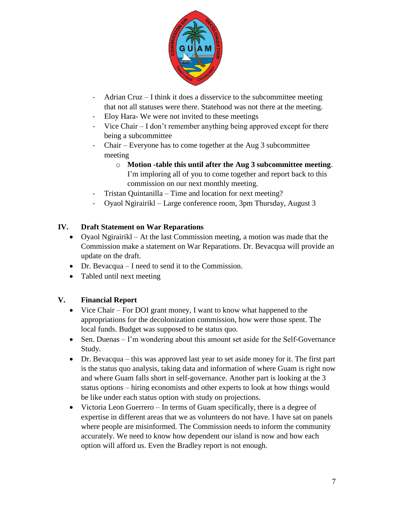

- Adrian Cruz I think it does a disservice to the subcommittee meeting that not all statuses were there. Statehood was not there at the meeting.
- Eloy Hara- We were not invited to these meetings
- Vice Chair  $I$  don't remember anything being approved except for there being a subcommittee
- Chair Everyone has to come together at the Aug 3 subcommittee meeting
	- o **Motion -table this until after the Aug 3 subcommittee meeting**. I'm imploring all of you to come together and report back to this commission on our next monthly meeting.
- Tristan Quintanilla Time and location for next meeting?
- Oyaol Ngirairikl Large conference room, 3pm Thursday, August 3

#### **IV. Draft Statement on War Reparations**

- Oyaol Ngirairikl At the last Commission meeting, a motion was made that the Commission make a statement on War Reparations. Dr. Bevacqua will provide an update on the draft.
- Dr. Bevacqua I need to send it to the Commission.
- Tabled until next meeting

### **V. Financial Report**

- Vice Chair For DOI grant money, I want to know what happened to the appropriations for the decolonization commission, how were those spent. The local funds. Budget was supposed to be status quo.
- Sen. Duenas I'm wondering about this amount set aside for the Self-Governance Study.
- Dr. Bevacqua this was approved last year to set aside money for it. The first part is the status quo analysis, taking data and information of where Guam is right now and where Guam falls short in self-governance. Another part is looking at the 3 status options – hiring economists and other experts to look at how things would be like under each status option with study on projections.
- Victoria Leon Guerrero In terms of Guam specifically, there is a degree of expertise in different areas that we as volunteers do not have. I have sat on panels where people are misinformed. The Commission needs to inform the community accurately. We need to know how dependent our island is now and how each option will afford us. Even the Bradley report is not enough.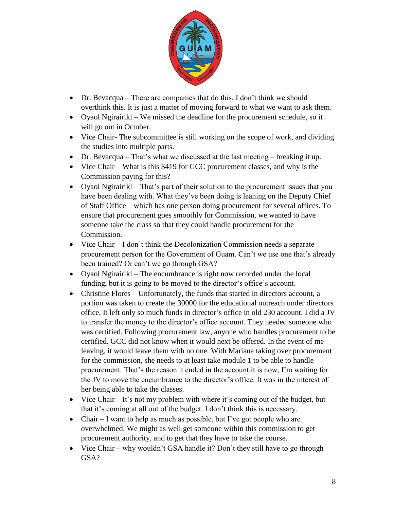

- Dr. Bevacqua There are companies that do this. I don't think we should overthink this. It is just a matter of moving forward to what we want to ask them.
- Oyaol Ngirairikl We missed the deadline for the procurement schedule, so it will go out in October.
- Vice Chair- The subcommittee is still working on the scope of work, and dividing the studies into multiple parts.
- Dr. Bevacqua That's what we discussed at the last meeting breaking it up.
- Vice Chair What is this \$419 for GCC procurement classes, and why is the Commission paying for this?
- Oyaol Ngirairikl That's part of their solution to the procurement issues that you have been dealing with. What they've been doing is leaning on the Deputy Chief of Staff Office – which has one person doing procurement for several offices. To ensure that procurement goes smoothly for Commission, we wanted to have someone take the class so that they could handle procurement for the Commission.
- Vice Chair I don't think the Decolonization Commission needs a separate procurement person for the Government of Guam. Can't we use one that's already been trained? Or can't we go through GSA?
- Oyaol Ngirairikl The encumbrance is right now recorded under the local funding, but it is going to be moved to the director's office's account.
- Christine Flores Unfortunately, the funds that started in directors account, a portion was taken to create the 30000 for the educational outreach under directors office. It left only so much funds in director's office in old 230 account. I did a JV to transfer the money to the director's office account. They needed someone who was certified. Following procurement law, anyone who handles procurement to be certified. GCC did not know when it would next be offered. In the event of me leaving, it would leave them with no one. With Mariana taking over procurement for the commission, she needs to at least take module 1 to be able to handle procurement. That's the reason it ended in the account it is now, I'm waiting for the JV to move the encumbrance to the director's office. It was in the interest of her being able to take the classes.
- Vice Chair It's not my problem with where it's coming out of the budget, but that it's coming at all out of the budget. I don't think this is necessary.
- Chair I want to help as much as possible, but I've got people who are overwhelmed. We might as well get someone within this commission to get procurement authority, and to get that they have to take the course.
- Vice Chair why wouldn't GSA handle it? Don't they still have to go through GSA?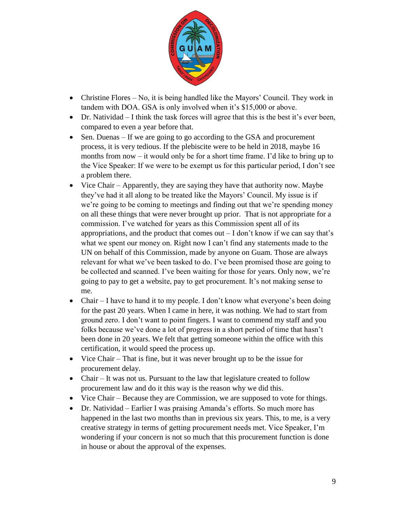

- Christine Flores No, it is being handled like the Mayors' Council. They work in tandem with DOA. GSA is only involved when it's \$15,000 or above.
- Dr. Natividad I think the task forces will agree that this is the best it's ever been, compared to even a year before that.
- Sen. Duenas If we are going to go according to the GSA and procurement process, it is very tedious. If the plebiscite were to be held in 2018, maybe 16 months from now – it would only be for a short time frame. I'd like to bring up to the Vice Speaker: If we were to be exempt us for this particular period, I don't see a problem there.
- Vice Chair Apparently, they are saying they have that authority now. Maybe they've had it all along to be treated like the Mayors' Council. My issue is if we're going to be coming to meetings and finding out that we're spending money on all these things that were never brought up prior. That is not appropriate for a commission. I've watched for years as this Commission spent all of its appropriations, and the product that comes out  $-I$  don't know if we can say that's what we spent our money on. Right now I can't find any statements made to the UN on behalf of this Commission, made by anyone on Guam. Those are always relevant for what we've been tasked to do. I've been promised those are going to be collected and scanned. I've been waiting for those for years. Only now, we're going to pay to get a website, pay to get procurement. It's not making sense to me.
- Chair I have to hand it to my people. I don't know what everyone's been doing for the past 20 years. When I came in here, it was nothing. We had to start from ground zero. I don't want to point fingers. I want to commend my staff and you folks because we've done a lot of progress in a short period of time that hasn't been done in 20 years. We felt that getting someone within the office with this certification, it would speed the process up.
- Vice Chair That is fine, but it was never brought up to be the issue for procurement delay.
- Chair It was not us. Pursuant to the law that legislature created to follow procurement law and do it this way is the reason why we did this.
- Vice Chair Because they are Commission, we are supposed to vote for things.
- Dr. Natividad Earlier I was praising Amanda's efforts. So much more has happened in the last two months than in previous six years. This, to me, is a very creative strategy in terms of getting procurement needs met. Vice Speaker, I'm wondering if your concern is not so much that this procurement function is done in house or about the approval of the expenses.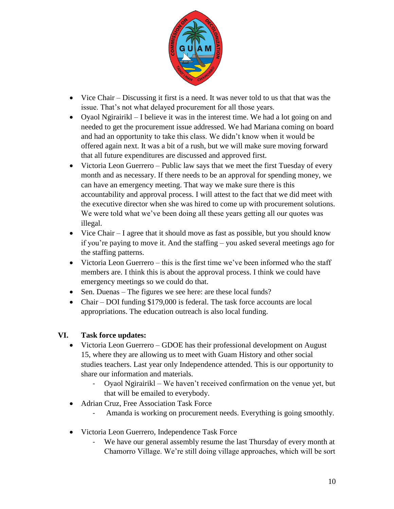

- Vice Chair Discussing it first is a need. It was never told to us that that was the issue. That's not what delayed procurement for all those years.
- Oyaol Ngirairikl I believe it was in the interest time. We had a lot going on and needed to get the procurement issue addressed. We had Mariana coming on board and had an opportunity to take this class. We didn't know when it would be offered again next. It was a bit of a rush, but we will make sure moving forward that all future expenditures are discussed and approved first.
- Victoria Leon Guerrero Public law says that we meet the first Tuesday of every month and as necessary. If there needs to be an approval for spending money, we can have an emergency meeting. That way we make sure there is this accountability and approval process. I will attest to the fact that we did meet with the executive director when she was hired to come up with procurement solutions. We were told what we've been doing all these years getting all our quotes was illegal.
- Vice Chair I agree that it should move as fast as possible, but you should know if you're paying to move it. And the staffing – you asked several meetings ago for the staffing patterns.
- Victoria Leon Guerrero this is the first time we've been informed who the staff members are. I think this is about the approval process. I think we could have emergency meetings so we could do that.
- Sen. Duenas The figures we see here: are these local funds?
- Chair DOI funding \$179,000 is federal. The task force accounts are local appropriations. The education outreach is also local funding.

#### **VI. Task force updates:**

- Victoria Leon Guerrero GDOE has their professional development on August 15, where they are allowing us to meet with Guam History and other social studies teachers. Last year only Independence attended. This is our opportunity to share our information and materials.
	- Oyaol Ngirairikl We haven't received confirmation on the venue yet, but that will be emailed to everybody.
- Adrian Cruz, Free Association Task Force
	- Amanda is working on procurement needs. Everything is going smoothly.
- Victoria Leon Guerrero, Independence Task Force
	- We have our general assembly resume the last Thursday of every month at Chamorro Village. We're still doing village approaches, which will be sort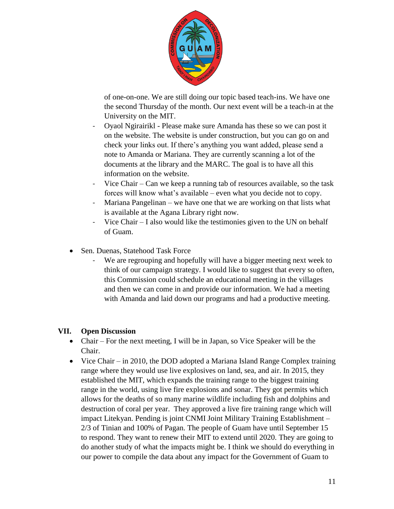

of one-on-one. We are still doing our topic based teach-ins. We have one the second Thursday of the month. Our next event will be a teach-in at the University on the MIT.

- Oyaol Ngirairikl Please make sure Amanda has these so we can post it on the website. The website is under construction, but you can go on and check your links out. If there's anything you want added, please send a note to Amanda or Mariana. They are currently scanning a lot of the documents at the library and the MARC. The goal is to have all this information on the website.
- Vice Chair Can we keep a running tab of resources available, so the task forces will know what's available – even what you decide not to copy.
- Mariana Pangelinan we have one that we are working on that lists what is available at the Agana Library right now.
- Vice Chair I also would like the testimonies given to the UN on behalf of Guam.
- Sen. Duenas, Statehood Task Force
	- We are regrouping and hopefully will have a bigger meeting next week to think of our campaign strategy. I would like to suggest that every so often, this Commission could schedule an educational meeting in the villages and then we can come in and provide our information. We had a meeting with Amanda and laid down our programs and had a productive meeting.

### **VII. Open Discussion**

- Chair For the next meeting, I will be in Japan, so Vice Speaker will be the Chair.
- Vice Chair in 2010, the DOD adopted a Mariana Island Range Complex training range where they would use live explosives on land, sea, and air. In 2015, they established the MIT, which expands the training range to the biggest training range in the world, using live fire explosions and sonar. They got permits which allows for the deaths of so many marine wildlife including fish and dolphins and destruction of coral per year. They approved a live fire training range which will impact Litekyan. Pending is joint CNMI Joint Military Training Establishment – 2/3 of Tinian and 100% of Pagan. The people of Guam have until September 15 to respond. They want to renew their MIT to extend until 2020. They are going to do another study of what the impacts might be. I think we should do everything in our power to compile the data about any impact for the Government of Guam to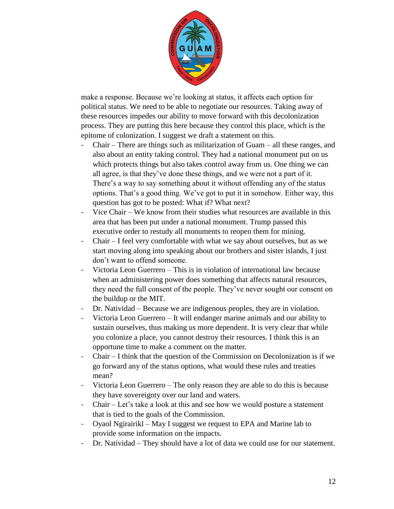

make a response. Because we're looking at status, it affects each option for political status. We need to be able to negotiate our resources. Taking away of these resources impedes our ability to move forward with this decolonization process. They are putting this here because they control this place, which is the epitome of colonization. I suggest we draft a statement on this.

- $Chair There$  are things such as militarization of Guam  $-$  all these ranges, and also about an entity taking control. They had a national monument put on us which protects things but also takes control away from us. One thing we can all agree, is that they've done these things, and we were not a part of it. There's a way to say something about it without offending any of the status options. That's a good thing. We've got to put it in somehow. Either way, this question has got to be posted: What if? What next?
- Vice Chair We know from their studies what resources are available in this area that has been put under a national monument. Trump passed this executive order to restudy all monuments to reopen them for mining.
- Chair I feel very comfortable with what we say about ourselves, but as we start moving along into speaking about our brothers and sister islands, I just don't want to offend someone.
- Victoria Leon Guerrero This is in violation of international law because when an administering power does something that affects natural resources, they need the full consent of the people. They've never sought our consent on the buildup or the MIT.
- Dr. Natividad Because we are indigenous peoples, they are in violation.
- Victoria Leon Guerrero It will endanger marine animals and our ability to sustain ourselves, thus making us more dependent. It is very clear that while you colonize a place, you cannot destroy their resources. I think this is an opportune time to make a comment on the matter.
- Chair I think that the question of the Commission on Decolonization is if we go forward any of the status options, what would these rules and treaties mean?
- Victoria Leon Guerrero The only reason they are able to do this is because they have sovereignty over our land and waters.
- Chair Let's take a look at this and see how we would posture a statement that is tied to the goals of the Commission.
- Oyaol Ngirairikl May I suggest we request to EPA and Marine lab to provide some information on the impacts.
- Dr. Natividad They should have a lot of data we could use for our statement.